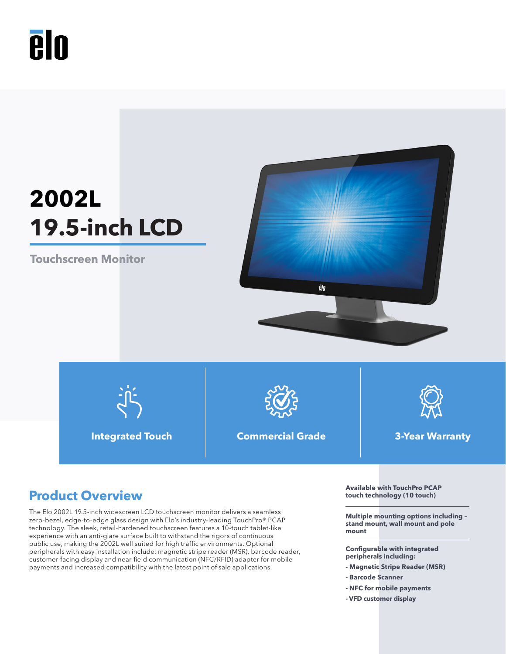

# **2002L 19.5-inch LCD**

**Touchscreen Monitor**





**Integrated Touch Commercial Grade 3-Year Warranty**



# **Product Overview**

The Elo 2002L 19.5-inch widescreen LCD touchscreen monitor delivers a seamless zero-bezel, edge-to-edge glass design with Elo's industry-leading TouchPro® PCAP technology. The sleek, retail-hardened touchscreen features a 10-touch tablet-like experience with an anti-glare surface built to withstand the rigors of continuous public use, making the 2002L well suited for high traffic environments. Optional peripherals with easy installation include: magnetic stripe reader (MSR), barcode reader, customer-facing display and near-field communication (NFC/RFID) adapter for mobile payments and increased compatibility with the latest point of sale applications.

**Available with TouchPro PCAP touch technology (10 touch)**

**Multiple mounting options including – stand mount, wall mount and pole mount**

**Configurable with integrated peripherals including:** 

- **Magnetic Stripe Reader (MSR)**
- **Barcode Scanner**
- **NFC for mobile payments**
- **VFD customer display**